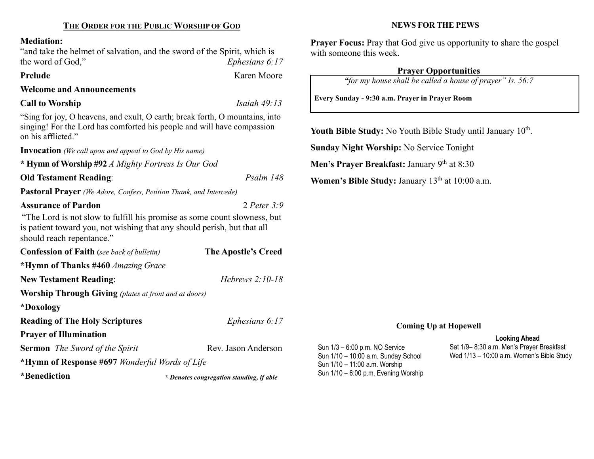#### Mediation:

"and take the helmet of salvation, and the sword of the Spirit, which is the word of God,"  $Ephesians 6:17$ 

### Prelude Karen Moore

Welcome and Announcements

## Call to Worship Isaiah 49:13

"Sing for joy, O heavens, and exult, O earth; break forth, O mountains, into singing! For the Lord has comforted his people and will have compassion on his afflicted."

Invocation (We call upon and appeal to God by His name)

\* Hymn of Worship #92 A Mighty Fortress Is Our God

Old Testament Reading: Psalm 148

Pastoral Prayer (We Adore, Confess, Petition Thank, and Intercede)

### Assurance of Pardon 2 Peter 3:9

"The Lord is not slow to fulfill his promise as some count slowness, but is patient toward you, not wishing that any should perish, but that all should reach repentance."

| <b>Confession of Faith</b> (see back of bulletin)            | The Apostle's Creed |  |  |  |
|--------------------------------------------------------------|---------------------|--|--|--|
| *Hymn of Thanks #460 Amazing Grace                           |                     |  |  |  |
| <b>New Testament Reading:</b>                                | Hebrews $2:10-18$   |  |  |  |
| <b>Worship Through Giving</b> (plates at front and at doors) |                     |  |  |  |
| *Doxology                                                    |                     |  |  |  |
| <b>Reading of The Holy Scriptures</b>                        | Ephesians $6:17$    |  |  |  |
| <b>Prayer of Illumination</b>                                |                     |  |  |  |
| <b>Sermon</b> <i>The Sword of the Spirit</i>                 | Rev. Jason Anderson |  |  |  |
| *Hymn of Response #697 Wonderful Words of Life               |                     |  |  |  |

\*Benediction

Sun 1/10 – 6:00 p.m. Evening Worship \* Denotes congregation standing, if able

#### NEWS FOR THE PEWS

Prayer Focus: Pray that God give us opportunity to share the gospel with someone this week.

## Prayer Opportunities

"for my house shall be called a house of prayer" Is. 56:7

Every Sunday - 9:30 a.m. Prayer in Prayer Room

Youth Bible Study: No Youth Bible Study until January  $10<sup>th</sup>$ .

Sunday Night Worship: No Service Tonight

Men's Prayer Breakfast: January  $9<sup>th</sup>$  at 8:30

Sun 1/3 – 6:00 p.m. NO Service Sun 1/10 – 10:00 a.m. Sunday School Sun 1/10 – 11:00 a.m. Worship

Women's Bible Study: January  $13<sup>th</sup>$  at  $10:00$  a.m.

# Coming Up at Hopewell

### Looking Ahead

Sat 1/9– 8:30 a.m. Men's Prayer Breakfast Wed 1/13 – 10:00 a.m. Women's Bible Study